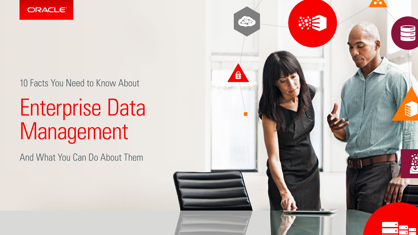

### 10 Facts You Need to Know About

# Enterprise Data Management

And What You Can Do About Them

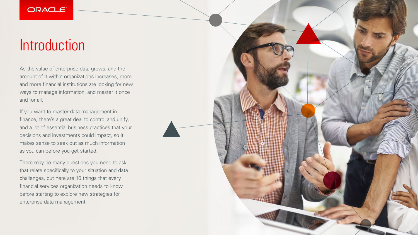## Introduction

As the value of enterprise data grows, and the amount of it within organizations increases, more and more financial institutions are looking for new ways to manage information, and master it once and for all.

If you want to master data management in finance, there's a great deal to control and unify, and a lot of essential business practices that your decisions and investments could impact, so it makes sense to seek out as much information as you can before you get started.

There may be many questions you need to ask that relate specifically to your situation and data challenges, but here are 10 things that every financial services organization needs to know before starting to explore new strategies for enterprise data management.

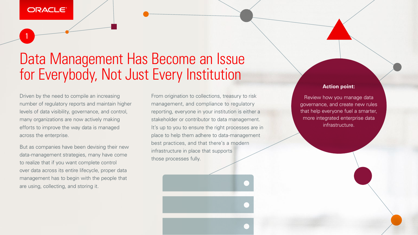1

### Data Management Has Become an Issue for Everybody, Not Just Every Institution

Driven by the need to compile an increasing number of regulatory reports and maintain higher levels of data visibility, governance, and control, many organizations are now actively making efforts to improve the way data is managed across the enterprise.

But as companies have been devising their new data-management strategies, many have come to realize that if you want complete control over data across its entire lifecycle, proper data management has to begin with the people that are using, collecting, and storing it.

From origination to collections, treasury to risk management, and compliance to regulatory reporting, everyone in your institution is either a stakeholder or contributor to data management. It's up to you to ensure the right processes are in place to help them adhere to data-management best practices, and that there's a modern infrastructure in place that supports those processes fully.

#### **Action point:**

Review how you manage data governance, and create new rules that help everyone fuel a smarter, more integrated enterprise data infrastructure.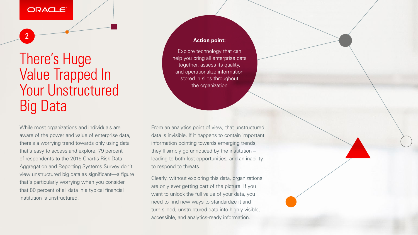2

### There's Huge Value Trapped In Your Unstructured Big Data

While most organizations and individuals are aware of the power and value of enterprise data, there's a worrying trend towards only using data that's easy to access and explore. 79 percent of respondents to the 2015 Chartis Risk Data Aggregation and Reporting Systems Survey don't view unstructured big data as significant—a figure that's particularly worrying when you consider that 80 percent of all data in a typical financial institution is unstructured.

From an analytics point of view, that unstructured data is invisible. If it happens to contain important information pointing towards emerging trends, they'll simply go unnoticed by the institution – leading to both lost opportunities, and an inability to respond to threats.

Clearly, without exploring this data, organizations are only ever getting part of the picture. If you want to unlock the full value of your data, you need to find new ways to standardize it and turn siloed, unstructured data into highly visible, accessible, and analytics-ready information.



#### **Action point:**

Explore technology that can help you bring all enterprise data together, assess its quality, and operationalize information stored in silos throughout the organization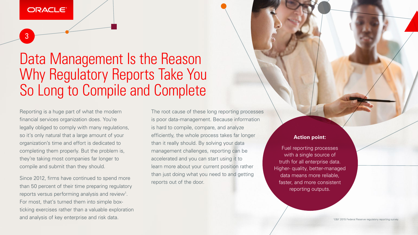3

### Data Management Is the Reason Why Regulatory Reports Take You So Long to Compile and Complete

Reporting is a huge part of what the modern financial services organization does. You're legally obliged to comply with many regulations, so it's only natural that a large amount of your organization's time and effort is dedicated to completing them properly. But the problem is, they're taking most companies far longer to compile and submit than they should.

Since 2012, firms have continued to spend more than 50 percent of their time preparing regulatory reports versus performing analysis and review<sup>1</sup>. For most, that's turned them into simple boxticking exercises rather than a valuable exploration and analysis of key enterprise and risk data.

The root cause of these long reporting processes is poor data-management. Because information is hard to compile, compare, and analyze efficiently, the whole process takes far longer than it really should. By solving your data management challenges, reporting can be accelerated and you can start using it to learn more about your current position rather than just doing what you need to and getting reports out of the door.

#### **Action point:**

Fuel reporting processes with a single source of truth for all enterprise data. Higher- quality, better-managed data means more reliable, faster, and more consistent reporting outputs.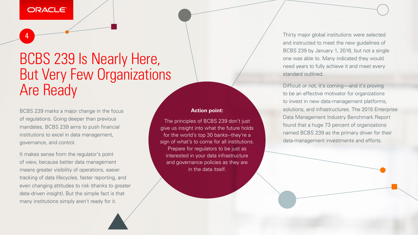4

### BCBS 239 Is Nearly Here, But Very Few Organizations Are Ready

BCBS 239 marks a major change in the focus of regulations. Going deeper than previous mandates, BCBS 239 aims to push financial institutions to excel in data management, governance, and control.

It makes sense from the regulator's point of view, because better data management means greater visibility of operations, easier tracking of data lifecycles, faster reporting, and even changing attitudes to risk (thanks to greater data-driven insight). But the simple fact is that many institutions simply aren't ready for it.

Thirty major global institutions were selected and instructed to meet the new guidelines of BCBS 239 by January 1, 2016, but not a single one was able to. Many indicated they would need years to fully achieve it and meet every standard outlined.

Difficult or not, it's coming—and it's proving to be an effective motivator for organizations to invest in new data-management platforms, solutions, and infrastructures. The 2015 Enterprise Data Management Industry Benchmark Report found that a huge 73 percent of organizations named BCBS 239 as the primary driver for their data-management investments and efforts.

#### **Action point:**

The principles of BCBS 239 don't just give us insight into what the future holds for the world's top 30 banks--they're a sign of what's to come for all institutions. Prepare for regulators to be just as interested in your data infrastructure and governance policies as they are in the data itself.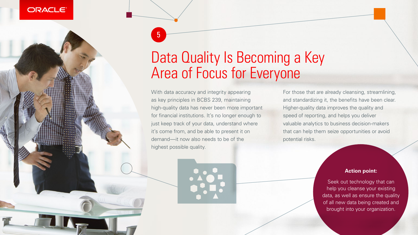5



#### ORACLE<sup>®</sup>

## Data Quality Is Becoming a Key Area of Focus for Everyone

With data accuracy and integrity appearing as key principles in BCBS 239, maintaining high-quality data has never been more important for financial institutions. It's no longer enough to just keep track of your data, understand where it's come from, and be able to present it on demand—it now also needs to be of the highest possible quality.

For those that are already cleansing, streamlining, and standardizing it, the benefits have been clear. Higher-quality data improves the quality and speed of reporting, and helps you deliver valuable analytics to business decision-makers that can help them seize opportunities or avoid potential risks.

#### **Action point:**

Seek out technology that can help you cleanse your existing data, as well as ensure the quality of all new data being created and brought into your organization.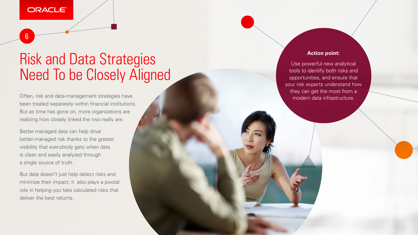6

### Risk and Data Strategies Need To be Closely Aligned

Often, risk and data-management strategies have been treated separately within financial institutions. But as time has gone on, more organizations are realizing how closely linked the two really are.

Better-managed data can help drive better-managed risk thanks to the greater visibility that everybody gets when data is clean and easily analyzed through a single source of truth.

But data doesn't just help detect risks and minimize their impact; it also plays a pivotal role in helping you take calculated risks that deliver the best returns.

#### **Action point:**

Use powerful new analytical tools to identify both risks and opportunities, and ensure that your risk experts understand how they can get the most from a modern data infrastructure.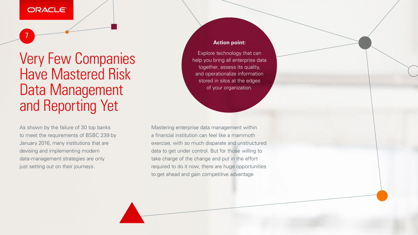7

As shown by the failure of 30 top banks to meet the requirements of BSBC 239 by January 2016, many institutions that are devising and implementing modern data-management strategies are only just setting out on their journeys.

### Very Few Companies Have Mastered Risk Data Management and Reporting Yet

Mastering enterprise data management within a financial institution can feel like a mammoth exercise, with so much disparate and unstructured data to get under control. But for those willing to take charge of the change and put in the effort required to do it now, there are huge opportunities to get ahead and gain competitive advantage



#### **Action point:**

Explore technology that can help you bring all enterprise data together, assess its quality, and operationalize information stored in silos at the edges of your organization.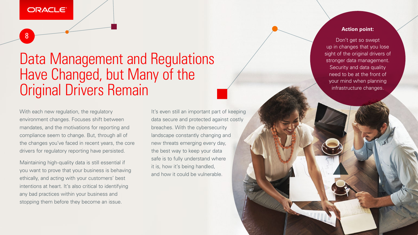8

Data Management and Regulations Have Changed, but Many of the Original Drivers Remain

With each new regulation, the regulatory environment changes. Focuses shift between mandates, and the motivations for reporting and compliance seem to change. But, through all of the changes you've faced in recent years, the core drivers for regulatory reporting have persisted.

It's even still an important part of keeping data secure and protected against costly breaches. With the cybersecurity landscape constantly changing and new threats emerging every day, the best way to keep your data safe is to fully understand where it is, how it's being handled, and how it could be vulnerable.

Maintaining high-quality data is still essential if you want to prove that your business is behaving ethically, and acting with your customers' best intentions at heart. It's also critical to identifying any bad practices within your business and stopping them before they become an issue.

#### **Action point:**

Don't get so swept up in changes that you lose sight of the original drivers of stronger data management. Security and data quality need to be at the front of your mind when planning infrastructure changes.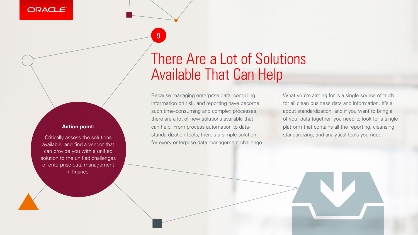9

#### **ORACLE®**



Because managing enterprise data, compiling information on risk, and reporting have become such time-consuming and complex processes, there are a lot of new solutions available that can help. From process automation to datastandardization tools, there's a simple solution for every enterprise data management challenge. What you're aiming for is a single source of truth for all clean business data and information. It's all about standardization, and if you want to bring all of your data together, you need to look for a single platform that contains all the reporting, cleansing, standardizing, and analytical tools you need.

#### **Action point:**

Critically assess the solutions available, and find a vendor that can provide you with a unified solution to the unified challenges of enterprise data management in finance.

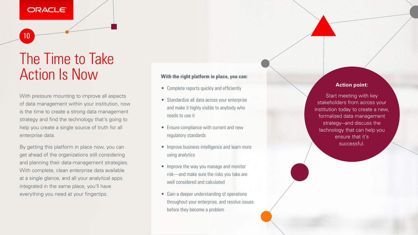10

### The Time to Take Action Is Now

With pressure mounting to improve all aspects of data management within your institution, now is the time to create a strong data management strategy and find the technology that's going to help you create a single source of truth for all enterprise data.

By getting this platform in place now, you can get ahead of the organizations still considering and planning their data-management strategies. With complete, clean enterprise data available at a single glance, and all your analytical apps integrated in the same place, you'll have everything you need at your fingertips.

#### **With the right platform in place, you can:**

**Start meeting with key** stakeholders from across your institution today to create a new, formalized data management strategy--and discuss the technology that can help you ensure that it's successful.

- Complete reports quickly and efficiently
- Standardize all data across your enterprise and make it highly visible to anybody who needs to use it
- Ensure compliance with current and new regulatory standards
- Improve business intelligence and learn more using analytics
- Improve the way you manage and monitor risk—and make sure the risks you take are well considered and calculated
- Gain a deeper understanding of operations throughout your enterprise, and resolve issues before they become a problem

#### **Action point:**